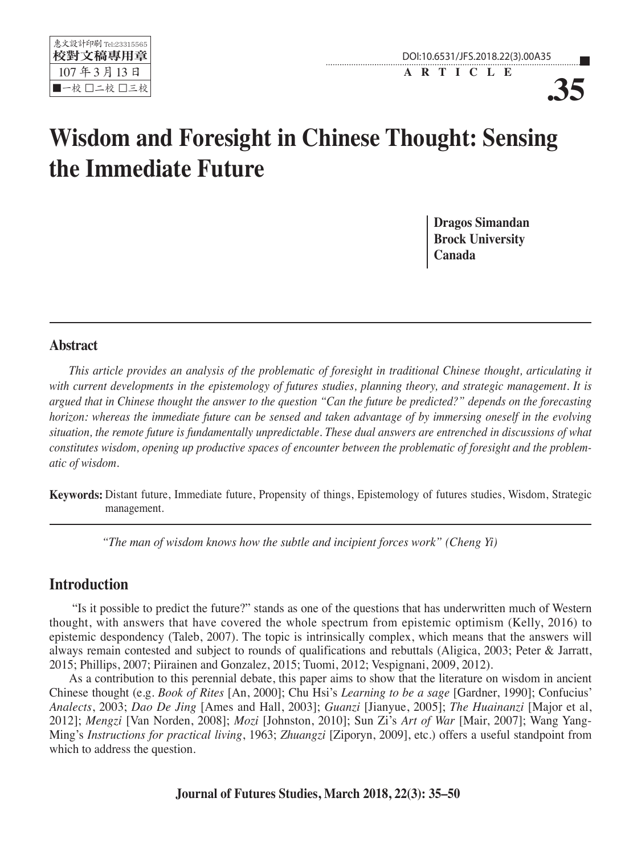



**.35**

# **Wisdom and Foresight in Chinese Thought: Sensing the Immediate Future**

**Dragos Simandan Brock University Canada**

#### **Abstract**

*This article provides an analysis of the problematic of foresight in traditional Chinese thought, articulating it with current developments in the epistemology of futures studies, planning theory, and strategic management. It is argued that in Chinese thought the answer to the question "Can the future be predicted?" depends on the forecasting horizon: whereas the immediate future can be sensed and taken advantage of by immersing oneself in the evolving situation, the remote future is fundamentally unpredictable. These dual answers are entrenched in discussions of what constitutes wisdom, opening up productive spaces of encounter between the problematic of foresight and the problematic of wisdom.* 

**Keywords:** Distant future, Immediate future, Propensity of things, Epistemology of futures studies, Wisdom, Strategic management.

*"The man of wisdom knows how the subtle and incipient forces work" (Cheng Yi)*

## **Introduction**

 "Is it possible to predict the future?" stands as one of the questions that has underwritten much of Western thought, with answers that have covered the whole spectrum from epistemic optimism (Kelly, 2016) to epistemic despondency (Taleb, 2007). The topic is intrinsically complex, which means that the answers will always remain contested and subject to rounds of qualifications and rebuttals (Aligica, 2003; Peter & Jarratt, 2015; Phillips, 2007; Piirainen and Gonzalez, 2015; Tuomi, 2012; Vespignani, 2009, 2012).

As a contribution to this perennial debate, this paper aims to show that the literature on wisdom in ancient Chinese thought (e.g. *Book of Rites* [An, 2000]; Chu Hsi's *Learning to be a sage* [Gardner, 1990]; Confucius' *Analects*, 2003; *Dao De Jing* [Ames and Hall, 2003]; *Guanzi* [Jianyue, 2005]; *The Huainanzi* [Major et al, 2012]; *Mengzi* [Van Norden, 2008]; *Mozi* [Johnston, 2010]; Sun Zi's *Art of War* [Mair, 2007]; Wang Yang-Ming's *Instructions for practical living*, 1963; *Zhuangzi* [Ziporyn, 2009], etc.) offers a useful standpoint from which to address the question.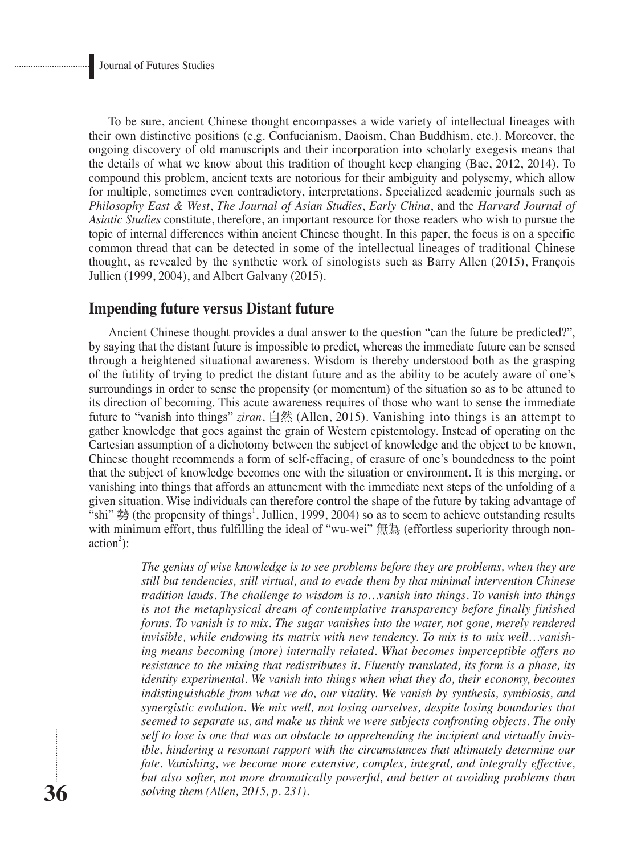To be sure, ancient Chinese thought encompasses a wide variety of intellectual lineages with their own distinctive positions (e.g. Confucianism, Daoism, Chan Buddhism, etc.). Moreover, the ongoing discovery of old manuscripts and their incorporation into scholarly exegesis means that the details of what we know about this tradition of thought keep changing (Bae, 2012, 2014). To compound this problem, ancient texts are notorious for their ambiguity and polysemy, which allow for multiple, sometimes even contradictory, interpretations. Specialized academic journals such as *Philosophy East & West*, *The Journal of Asian Studies*, *Early China*, and the *Harvard Journal of Asiatic Studies* constitute, therefore, an important resource for those readers who wish to pursue the topic of internal differences within ancient Chinese thought. In this paper, the focus is on a specific common thread that can be detected in some of the intellectual lineages of traditional Chinese thought, as revealed by the synthetic work of sinologists such as Barry Allen (2015), François Jullien (1999, 2004), and Albert Galvany (2015).

#### **Impending future versus Distant future**

Ancient Chinese thought provides a dual answer to the question "can the future be predicted?", by saying that the distant future is impossible to predict, whereas the immediate future can be sensed through a heightened situational awareness. Wisdom is thereby understood both as the grasping of the futility of trying to predict the distant future and as the ability to be acutely aware of one's surroundings in order to sense the propensity (or momentum) of the situation so as to be attuned to its direction of becoming. This acute awareness requires of those who want to sense the immediate future to "vanish into things" *ziran*, 自然 (Allen, 2015). Vanishing into things is an attempt to gather knowledge that goes against the grain of Western epistemology. Instead of operating on the Cartesian assumption of a dichotomy between the subject of knowledge and the object to be known, Chinese thought recommends a form of self-effacing, of erasure of one's boundedness to the point that the subject of knowledge becomes one with the situation or environment. It is this merging, or vanishing into things that affords an attunement with the immediate next steps of the unfolding of a given situation. Wise individuals can therefore control the shape of the future by taking advantage of "shi" 勢 (the propensity of things<sup>1</sup>, Jullien, 1999, 2004) so as to seem to achieve outstanding results with minimum effort, thus fulfilling the ideal of "wu-wei" 無為 (effortless superiority through non- $\arctan^2$ :

> *The genius of wise knowledge is to see problems before they are problems, when they are still but tendencies, still virtual, and to evade them by that minimal intervention Chinese tradition lauds. The challenge to wisdom is to…vanish into things. To vanish into things is not the metaphysical dream of contemplative transparency before finally finished forms. To vanish is to mix. The sugar vanishes into the water, not gone, merely rendered invisible, while endowing its matrix with new tendency. To mix is to mix well…vanishing means becoming (more) internally related. What becomes imperceptible offers no resistance to the mixing that redistributes it. Fluently translated, its form is a phase, its identity experimental. We vanish into things when what they do, their economy, becomes indistinguishable from what we do, our vitality. We vanish by synthesis, symbiosis, and synergistic evolution. We mix well, not losing ourselves, despite losing boundaries that seemed to separate us, and make us think we were subjects confronting objects. The only self to lose is one that was an obstacle to apprehending the incipient and virtually invisible, hindering a resonant rapport with the circumstances that ultimately determine our fate. Vanishing, we become more extensive, complex, integral, and integrally effective, but also softer, not more dramatically powerful, and better at avoiding problems than solving them (Allen, 2015, p. 231).*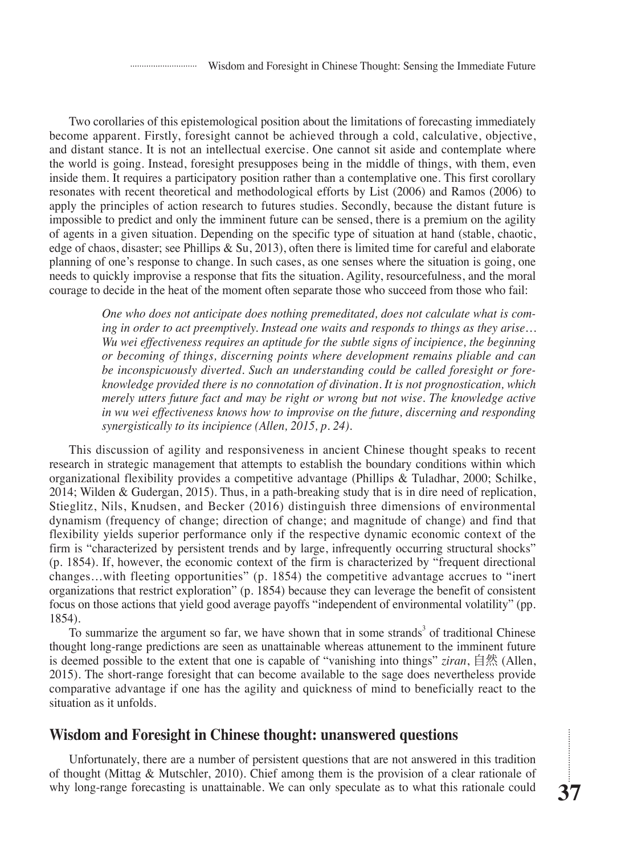Two corollaries of this epistemological position about the limitations of forecasting immediately become apparent. Firstly, foresight cannot be achieved through a cold, calculative, objective, and distant stance. It is not an intellectual exercise. One cannot sit aside and contemplate where the world is going. Instead, foresight presupposes being in the middle of things, with them, even inside them. It requires a participatory position rather than a contemplative one. This first corollary resonates with recent theoretical and methodological efforts by List (2006) and Ramos (2006) to apply the principles of action research to futures studies. Secondly, because the distant future is impossible to predict and only the imminent future can be sensed, there is a premium on the agility of agents in a given situation. Depending on the specific type of situation at hand (stable, chaotic, edge of chaos, disaster; see Phillips  $\&$  Su, 2013), often there is limited time for careful and elaborate planning of one's response to change. In such cases, as one senses where the situation is going, one needs to quickly improvise a response that fits the situation. Agility, resourcefulness, and the moral courage to decide in the heat of the moment often separate those who succeed from those who fail:

> *One who does not anticipate does nothing premeditated, does not calculate what is coming in order to act preemptively. Instead one waits and responds to things as they arise… Wu wei effectiveness requires an aptitude for the subtle signs of incipience, the beginning or becoming of things, discerning points where development remains pliable and can be inconspicuously diverted. Such an understanding could be called foresight or foreknowledge provided there is no connotation of divination. It is not prognostication, which merely utters future fact and may be right or wrong but not wise. The knowledge active in wu wei effectiveness knows how to improvise on the future, discerning and responding synergistically to its incipience (Allen, 2015, p. 24).*

This discussion of agility and responsiveness in ancient Chinese thought speaks to recent research in strategic management that attempts to establish the boundary conditions within which organizational flexibility provides a competitive advantage (Phillips & Tuladhar, 2000; Schilke, 2014; Wilden & Gudergan, 2015). Thus, in a path-breaking study that is in dire need of replication, Stieglitz, Nils, Knudsen, and Becker (2016) distinguish three dimensions of environmental dynamism (frequency of change; direction of change; and magnitude of change) and find that flexibility yields superior performance only if the respective dynamic economic context of the firm is "characterized by persistent trends and by large, infrequently occurring structural shocks" (p. 1854). If, however, the economic context of the firm is characterized by "frequent directional changes…with fleeting opportunities" (p. 1854) the competitive advantage accrues to "inert organizations that restrict exploration" (p. 1854) because they can leverage the benefit of consistent focus on those actions that yield good average payoffs "independent of environmental volatility" (pp. 1854).

To summarize the argument so far, we have shown that in some strands<sup>3</sup> of traditional Chinese thought long-range predictions are seen as unattainable whereas attunement to the imminent future is deemed possible to the extent that one is capable of "vanishing into things" *ziran*, 自然 (Allen, 2015). The short-range foresight that can become available to the sage does nevertheless provide comparative advantage if one has the agility and quickness of mind to beneficially react to the situation as it unfolds.

## **Wisdom and Foresight in Chinese thought: unanswered questions**

Unfortunately, there are a number of persistent questions that are not answered in this tradition of thought (Mittag & Mutschler, 2010). Chief among them is the provision of a clear rationale of why long-range forecasting is unattainable. We can only speculate as to what this rationale could

...........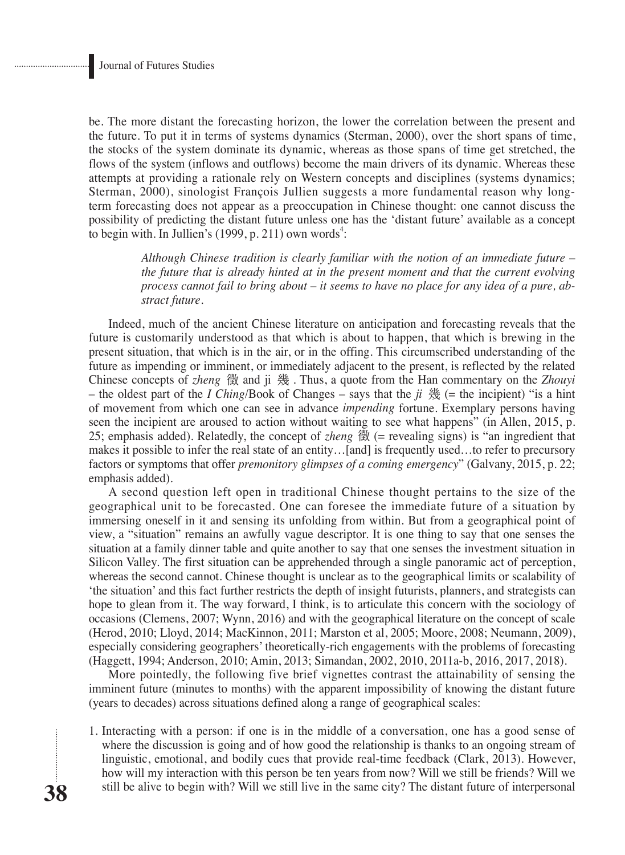be. The more distant the forecasting horizon, the lower the correlation between the present and the future. To put it in terms of systems dynamics (Sterman, 2000), over the short spans of time, the stocks of the system dominate its dynamic, whereas as those spans of time get stretched, the flows of the system (inflows and outflows) become the main drivers of its dynamic. Whereas these attempts at providing a rationale rely on Western concepts and disciplines (systems dynamics; Sterman, 2000), sinologist François Jullien suggests a more fundamental reason why longterm forecasting does not appear as a preoccupation in Chinese thought: one cannot discuss the possibility of predicting the distant future unless one has the 'distant future' available as a concept to begin with. In Jullien's  $(1999, p. 211)$  own words<sup>4</sup>:

> *Although Chinese tradition is clearly familiar with the notion of an immediate future – the future that is already hinted at in the present moment and that the current evolving process cannot fail to bring about – it seems to have no place for any idea of a pure, abstract future.*

Indeed, much of the ancient Chinese literature on anticipation and forecasting reveals that the future is customarily understood as that which is about to happen, that which is brewing in the present situation, that which is in the air, or in the offing. This circumscribed understanding of the future as impending or imminent, or immediately adjacent to the present, is reflected by the related Chinese concepts of *zheng* 徵 and ji 幾 . Thus, a quote from the Han commentary on the *Zhouyi* – the oldest part of the *I Ching*/Book of Changes – says that the *ji* 幾 (= the incipient) "is a hint of movement from which one can see in advance *impending* fortune. Exemplary persons having seen the incipient are aroused to action without waiting to see what happens" (in Allen, 2015, p. 25; emphasis added). Relatedly, the concept of *zheng* 徵 (= revealing signs) is "an ingredient that makes it possible to infer the real state of an entity…[and] is frequently used…to refer to precursory factors or symptoms that offer *premonitory glimpses of a coming emergency*" (Galvany, 2015, p. 22; emphasis added).

A second question left open in traditional Chinese thought pertains to the size of the geographical unit to be forecasted. One can foresee the immediate future of a situation by immersing oneself in it and sensing its unfolding from within. But from a geographical point of view, a "situation" remains an awfully vague descriptor. It is one thing to say that one senses the situation at a family dinner table and quite another to say that one senses the investment situation in Silicon Valley. The first situation can be apprehended through a single panoramic act of perception, whereas the second cannot. Chinese thought is unclear as to the geographical limits or scalability of 'the situation' and this fact further restricts the depth of insight futurists, planners, and strategists can hope to glean from it. The way forward, I think, is to articulate this concern with the sociology of occasions (Clemens, 2007; Wynn, 2016) and with the geographical literature on the concept of scale (Herod, 2010; Lloyd, 2014; MacKinnon, 2011; Marston et al, 2005; Moore, 2008; Neumann, 2009), especially considering geographers' theoretically-rich engagements with the problems of forecasting (Haggett, 1994; Anderson, 2010; Amin, 2013; Simandan, 2002, 2010, 2011a-b, 2016, 2017, 2018).

More pointedly, the following five brief vignettes contrast the attainability of sensing the imminent future (minutes to months) with the apparent impossibility of knowing the distant future (years to decades) across situations defined along a range of geographical scales:

1. Interacting with a person: if one is in the middle of a conversation, one has a good sense of where the discussion is going and of how good the relationship is thanks to an ongoing stream of linguistic, emotional, and bodily cues that provide real-time feedback (Clark, 2013). However, how will my interaction with this person be ten years from now? Will we still be friends? Will we still be alive to begin with? Will we still live in the same city? The distant future of interpersonal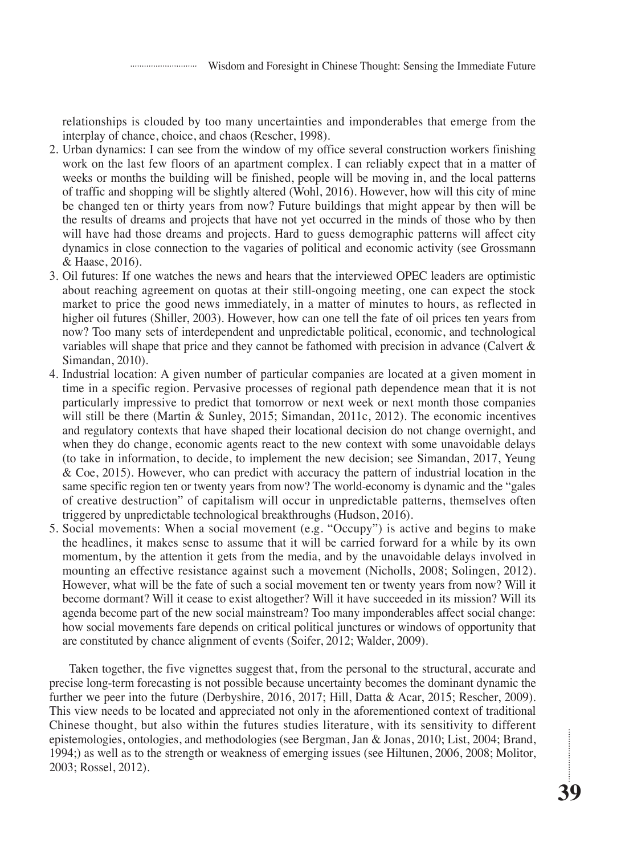relationships is clouded by too many uncertainties and imponderables that emerge from the interplay of chance, choice, and chaos (Rescher, 1998).

- 2. Urban dynamics: I can see from the window of my office several construction workers finishing work on the last few floors of an apartment complex. I can reliably expect that in a matter of weeks or months the building will be finished, people will be moving in, and the local patterns of traffic and shopping will be slightly altered (Wohl, 2016). However, how will this city of mine be changed ten or thirty years from now? Future buildings that might appear by then will be the results of dreams and projects that have not yet occurred in the minds of those who by then will have had those dreams and projects. Hard to guess demographic patterns will affect city dynamics in close connection to the vagaries of political and economic activity (see Grossmann & Haase, 2016).
- 3. Oil futures: If one watches the news and hears that the interviewed OPEC leaders are optimistic about reaching agreement on quotas at their still-ongoing meeting, one can expect the stock market to price the good news immediately, in a matter of minutes to hours, as reflected in higher oil futures (Shiller, 2003). However, how can one tell the fate of oil prices ten years from now? Too many sets of interdependent and unpredictable political, economic, and technological variables will shape that price and they cannot be fathomed with precision in advance (Calvert & Simandan, 2010).
- 4. Industrial location: A given number of particular companies are located at a given moment in time in a specific region. Pervasive processes of regional path dependence mean that it is not particularly impressive to predict that tomorrow or next week or next month those companies will still be there (Martin & Sunley, 2015; Simandan, 2011c, 2012). The economic incentives and regulatory contexts that have shaped their locational decision do not change overnight, and when they do change, economic agents react to the new context with some unavoidable delays (to take in information, to decide, to implement the new decision; see Simandan, 2017, Yeung & Coe, 2015). However, who can predict with accuracy the pattern of industrial location in the same specific region ten or twenty years from now? The world-economy is dynamic and the "gales of creative destruction" of capitalism will occur in unpredictable patterns, themselves often triggered by unpredictable technological breakthroughs (Hudson, 2016).
- 5. Social movements: When a social movement (e.g. "Occupy") is active and begins to make the headlines, it makes sense to assume that it will be carried forward for a while by its own momentum, by the attention it gets from the media, and by the unavoidable delays involved in mounting an effective resistance against such a movement (Nicholls, 2008; Solingen, 2012). However, what will be the fate of such a social movement ten or twenty years from now? Will it become dormant? Will it cease to exist altogether? Will it have succeeded in its mission? Will its agenda become part of the new social mainstream? Too many imponderables affect social change: how social movements fare depends on critical political junctures or windows of opportunity that are constituted by chance alignment of events (Soifer, 2012; Walder, 2009).

Taken together, the five vignettes suggest that, from the personal to the structural, accurate and precise long-term forecasting is not possible because uncertainty becomes the dominant dynamic the further we peer into the future (Derbyshire, 2016, 2017; Hill, Datta & Acar, 2015; Rescher, 2009). This view needs to be located and appreciated not only in the aforementioned context of traditional Chinese thought, but also within the futures studies literature, with its sensitivity to different epistemologies, ontologies, and methodologies (see Bergman, Jan & Jonas, 2010; List, 2004; Brand, 1994;) as well as to the strength or weakness of emerging issues (see Hiltunen, 2006, 2008; Molitor, 2003; Rossel, 2012).

............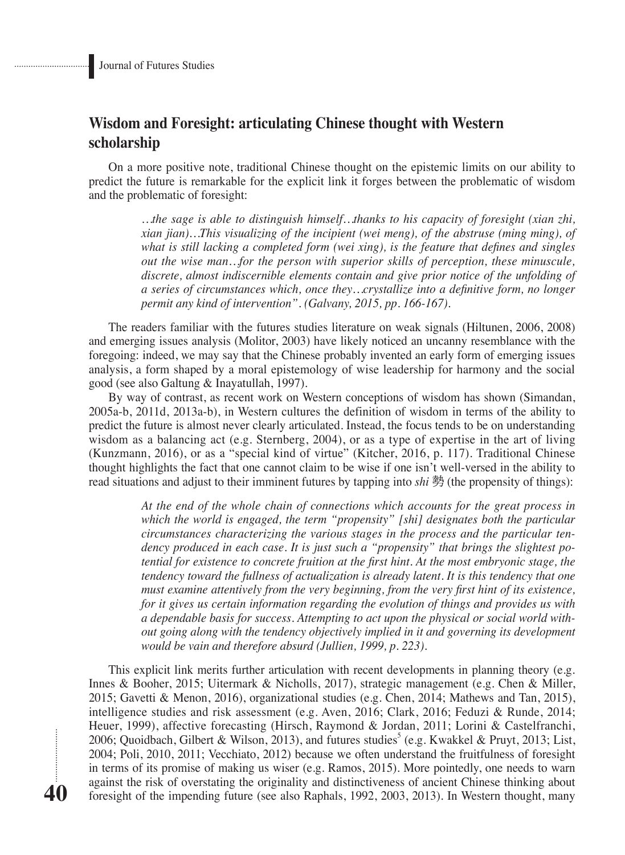**40**

## **Wisdom and Foresight: articulating Chinese thought with Western scholarship**

On a more positive note, traditional Chinese thought on the epistemic limits on our ability to predict the future is remarkable for the explicit link it forges between the problematic of wisdom and the problematic of foresight:

> *…the sage is able to distinguish himself…thanks to his capacity of foresight (xian zhi, xian jian)…This visualizing of the incipient (wei meng), of the abstruse (ming ming), of what is still lacking a completed form (wei xing), is the feature that defines and singles out the wise man…for the person with superior skills of perception, these minuscule, discrete, almost indiscernible elements contain and give prior notice of the unfolding of a series of circumstances which, once they…crystallize into a definitive form, no longer permit any kind of intervention". (Galvany, 2015, pp. 166-167).*

The readers familiar with the futures studies literature on weak signals (Hiltunen, 2006, 2008) and emerging issues analysis (Molitor, 2003) have likely noticed an uncanny resemblance with the foregoing: indeed, we may say that the Chinese probably invented an early form of emerging issues analysis, a form shaped by a moral epistemology of wise leadership for harmony and the social good (see also Galtung & Inayatullah, 1997).

By way of contrast, as recent work on Western conceptions of wisdom has shown (Simandan, 2005a-b, 2011d, 2013a-b), in Western cultures the definition of wisdom in terms of the ability to predict the future is almost never clearly articulated. Instead, the focus tends to be on understanding wisdom as a balancing act (e.g. Sternberg, 2004), or as a type of expertise in the art of living (Kunzmann, 2016), or as a "special kind of virtue" (Kitcher, 2016, p. 117). Traditional Chinese thought highlights the fact that one cannot claim to be wise if one isn't well-versed in the ability to read situations and adjust to their imminent futures by tapping into *shi* 勢 (the propensity of things):

> *At the end of the whole chain of connections which accounts for the great process in which the world is engaged, the term "propensity" [shi] designates both the particular circumstances characterizing the various stages in the process and the particular tendency produced in each case. It is just such a "propensity" that brings the slightest potential for existence to concrete fruition at the first hint. At the most embryonic stage, the tendency toward the fullness of actualization is already latent. It is this tendency that one must examine attentively from the very beginning, from the very first hint of its existence, for it gives us certain information regarding the evolution of things and provides us with a dependable basis for success. Attempting to act upon the physical or social world without going along with the tendency objectively implied in it and governing its development would be vain and therefore absurd (Jullien, 1999, p. 223).*

This explicit link merits further articulation with recent developments in planning theory (e.g. Innes & Booher, 2015; Uitermark & Nicholls, 2017), strategic management (e.g. Chen & Miller, 2015; Gavetti & Menon, 2016), organizational studies (e.g. Chen, 2014; Mathews and Tan, 2015), intelligence studies and risk assessment (e.g. Aven, 2016; Clark, 2016; Feduzi & Runde, 2014; Heuer, 1999), affective forecasting (Hirsch, Raymond & Jordan, 2011; Lorini & Castelfranchi, 2006; Quoidbach, Gilbert & Wilson, 2013), and futures studies<sup>5</sup> (e.g. Kwakkel & Pruyt, 2013; List, 2004; Poli, 2010, 2011; Vecchiato, 2012) because we often understand the fruitfulness of foresight in terms of its promise of making us wiser (e.g. Ramos, 2015). More pointedly, one needs to warn against the risk of overstating the originality and distinctiveness of ancient Chinese thinking about foresight of the impending future (see also Raphals, 1992, 2003, 2013). In Western thought, many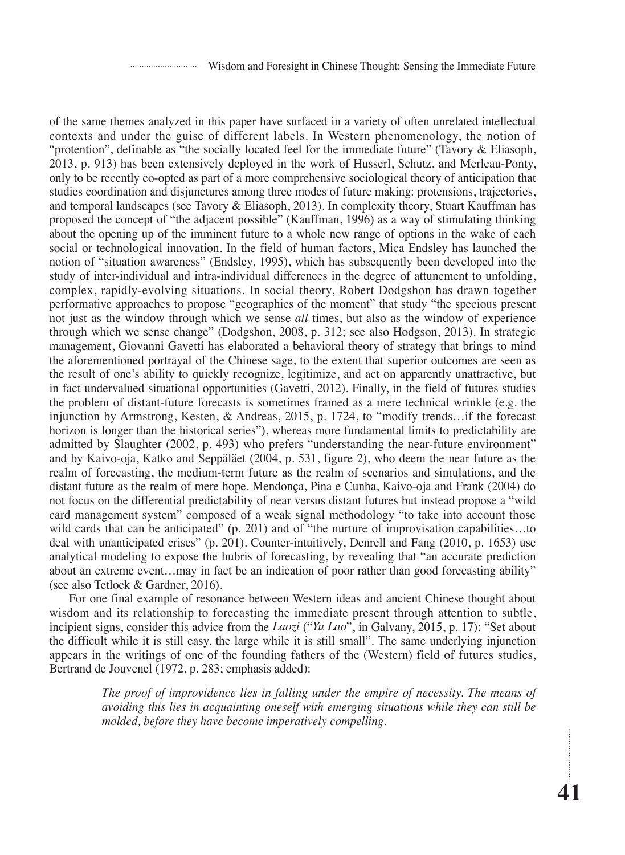of the same themes analyzed in this paper have surfaced in a variety of often unrelated intellectual contexts and under the guise of different labels. In Western phenomenology, the notion of "protention", definable as "the socially located feel for the immediate future" (Tavory & Eliasoph, 2013, p. 913) has been extensively deployed in the work of Husserl, Schutz, and Merleau-Ponty, only to be recently co-opted as part of a more comprehensive sociological theory of anticipation that studies coordination and disjunctures among three modes of future making: protensions, trajectories, and temporal landscapes (see Tavory & Eliasoph, 2013). In complexity theory, Stuart Kauffman has proposed the concept of "the adjacent possible" (Kauffman, 1996) as a way of stimulating thinking about the opening up of the imminent future to a whole new range of options in the wake of each social or technological innovation. In the field of human factors, Mica Endsley has launched the notion of "situation awareness" (Endsley, 1995), which has subsequently been developed into the study of inter-individual and intra-individual differences in the degree of attunement to unfolding, complex, rapidly-evolving situations. In social theory, Robert Dodgshon has drawn together performative approaches to propose "geographies of the moment" that study "the specious present not just as the window through which we sense *all* times, but also as the window of experience through which we sense change" (Dodgshon, 2008, p. 312; see also Hodgson, 2013). In strategic management, Giovanni Gavetti has elaborated a behavioral theory of strategy that brings to mind the aforementioned portrayal of the Chinese sage, to the extent that superior outcomes are seen as the result of one's ability to quickly recognize, legitimize, and act on apparently unattractive, but in fact undervalued situational opportunities (Gavetti, 2012). Finally, in the field of futures studies the problem of distant-future forecasts is sometimes framed as a mere technical wrinkle (e.g. the injunction by Armstrong, Kesten, & Andreas, 2015, p. 1724, to "modify trends…if the forecast horizon is longer than the historical series"), whereas more fundamental limits to predictability are admitted by Slaughter (2002, p. 493) who prefers "understanding the near-future environment" and by Kaivo-oja, Katko and Seppäläet (2004, p. 531, figure 2), who deem the near future as the realm of forecasting, the medium-term future as the realm of scenarios and simulations, and the distant future as the realm of mere hope. Mendonça, Pina e Cunha, Kaivo-oja and Frank (2004) do not focus on the differential predictability of near versus distant futures but instead propose a "wild card management system" composed of a weak signal methodology "to take into account those wild cards that can be anticipated" (p. 201) and of "the nurture of improvisation capabilities...to deal with unanticipated crises" (p. 201). Counter-intuitively, Denrell and Fang (2010, p. 1653) use analytical modeling to expose the hubris of forecasting, by revealing that "an accurate prediction about an extreme event…may in fact be an indication of poor rather than good forecasting ability" (see also Tetlock & Gardner, 2016).

For one final example of resonance between Western ideas and ancient Chinese thought about wisdom and its relationship to forecasting the immediate present through attention to subtle, incipient signs, consider this advice from the *Laozi* ("*Yu Lao*", in Galvany, 2015, p. 17): "Set about the difficult while it is still easy, the large while it is still small". The same underlying injunction appears in the writings of one of the founding fathers of the (Western) field of futures studies, Bertrand de Jouvenel (1972, p. 283; emphasis added):

> *The proof of improvidence lies in falling under the empire of necessity. The means of avoiding this lies in acquainting oneself with emerging situations while they can still be molded, before they have become imperatively compelling.*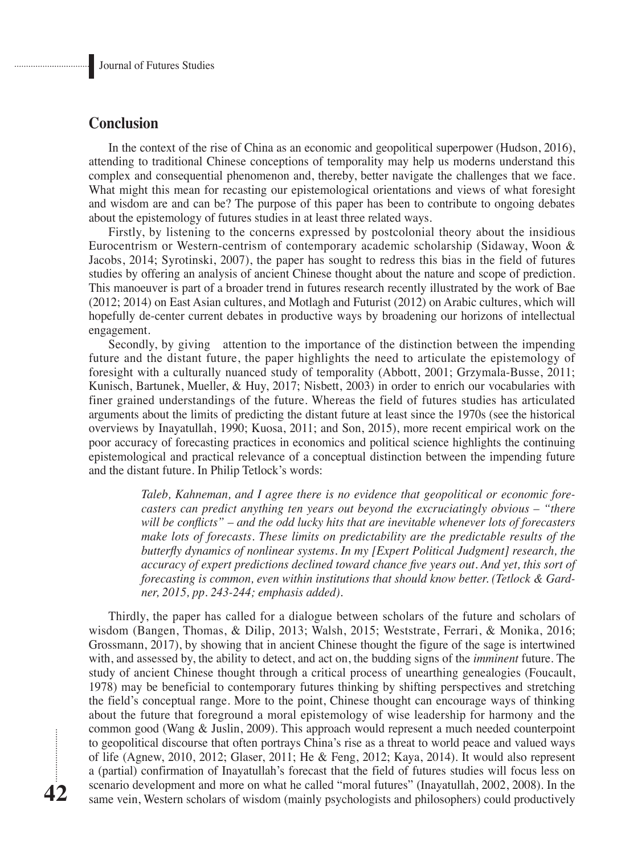## **Conclusion**

In the context of the rise of China as an economic and geopolitical superpower (Hudson, 2016), attending to traditional Chinese conceptions of temporality may help us moderns understand this complex and consequential phenomenon and, thereby, better navigate the challenges that we face. What might this mean for recasting our epistemological orientations and views of what foresight and wisdom are and can be? The purpose of this paper has been to contribute to ongoing debates about the epistemology of futures studies in at least three related ways.

Firstly, by listening to the concerns expressed by postcolonial theory about the insidious Eurocentrism or Western-centrism of contemporary academic scholarship (Sidaway, Woon & Jacobs, 2014; Syrotinski, 2007), the paper has sought to redress this bias in the field of futures studies by offering an analysis of ancient Chinese thought about the nature and scope of prediction. This manoeuver is part of a broader trend in futures research recently illustrated by the work of Bae (2012; 2014) on East Asian cultures, and Motlagh and Futurist (2012) on Arabic cultures, which will hopefully de-center current debates in productive ways by broadening our horizons of intellectual engagement.

Secondly, by giving attention to the importance of the distinction between the impending future and the distant future, the paper highlights the need to articulate the epistemology of foresight with a culturally nuanced study of temporality (Abbott, 2001; Grzymala-Busse, 2011; Kunisch, Bartunek, Mueller, & Huy, 2017; Nisbett, 2003) in order to enrich our vocabularies with finer grained understandings of the future. Whereas the field of futures studies has articulated arguments about the limits of predicting the distant future at least since the 1970s (see the historical overviews by Inayatullah, 1990; Kuosa, 2011; and Son, 2015), more recent empirical work on the poor accuracy of forecasting practices in economics and political science highlights the continuing epistemological and practical relevance of a conceptual distinction between the impending future and the distant future. In Philip Tetlock's words:

> *Taleb, Kahneman, and I agree there is no evidence that geopolitical or economic forecasters can predict anything ten years out beyond the excruciatingly obvious – "there will be conflicts" – and the odd lucky hits that are inevitable whenever lots of forecasters make lots of forecasts. These limits on predictability are the predictable results of the butterfly dynamics of nonlinear systems. In my [Expert Political Judgment] research, the accuracy of expert predictions declined toward chance five years out. And yet, this sort of forecasting is common, even within institutions that should know better. (Tetlock & Gardner, 2015, pp. 243-244; emphasis added).*

Thirdly, the paper has called for a dialogue between scholars of the future and scholars of wisdom (Bangen, Thomas, & Dilip, 2013; Walsh, 2015; Weststrate, Ferrari, & Monika, 2016; Grossmann, 2017), by showing that in ancient Chinese thought the figure of the sage is intertwined with, and assessed by, the ability to detect, and act on, the budding signs of the *imminent* future. The study of ancient Chinese thought through a critical process of unearthing genealogies (Foucault, 1978) may be beneficial to contemporary futures thinking by shifting perspectives and stretching the field's conceptual range. More to the point, Chinese thought can encourage ways of thinking about the future that foreground a moral epistemology of wise leadership for harmony and the common good (Wang & Juslin, 2009). This approach would represent a much needed counterpoint to geopolitical discourse that often portrays China's rise as a threat to world peace and valued ways of life (Agnew, 2010, 2012; Glaser, 2011; He & Feng, 2012; Kaya, 2014). It would also represent a (partial) confirmation of Inayatullah's forecast that the field of futures studies will focus less on scenario development and more on what he called "moral futures" (Inayatullah, 2002, 2008). In the same vein, Western scholars of wisdom (mainly psychologists and philosophers) could productively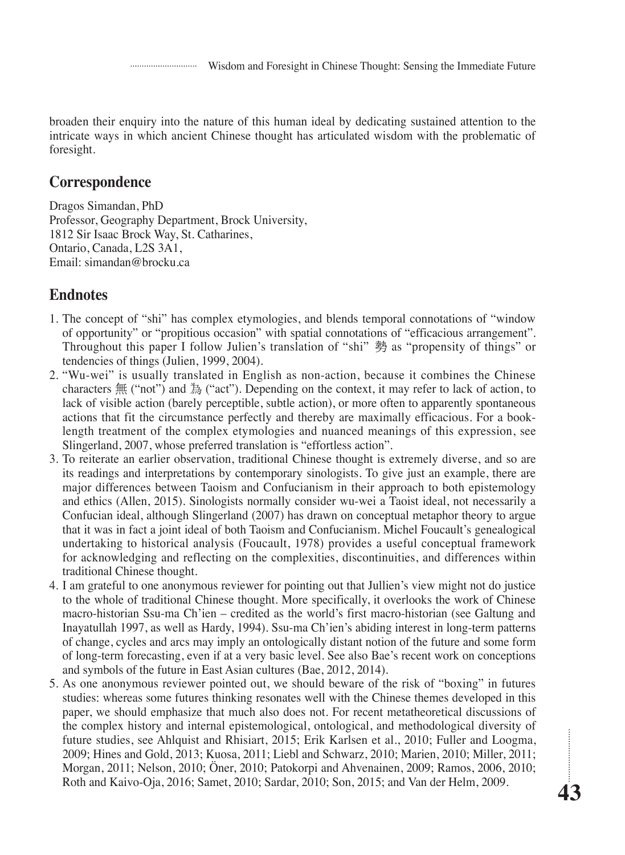broaden their enquiry into the nature of this human ideal by dedicating sustained attention to the intricate ways in which ancient Chinese thought has articulated wisdom with the problematic of foresight.

## **Correspondence**

Dragos Simandan, PhD Professor, Geography Department, Brock University, 1812 Sir Isaac Brock Way, St. Catharines, Ontario, Canada, L2S 3A1, Email: simandan@brocku.ca

## **Endnotes**

- 1. The concept of "shi" has complex etymologies, and blends temporal connotations of "window of opportunity" or "propitious occasion" with spatial connotations of "efficacious arrangement". Throughout this paper I follow Julien's translation of "shi" 勢 as "propensity of things" or tendencies of things (Julien, 1999, 2004).
- 2. "Wu-wei" is usually translated in English as non-action, because it combines the Chinese characters  $\#$  ("not") and  $\#$  ("act"). Depending on the context, it may refer to lack of action, to lack of visible action (barely perceptible, subtle action), or more often to apparently spontaneous actions that fit the circumstance perfectly and thereby are maximally efficacious. For a booklength treatment of the complex etymologies and nuanced meanings of this expression, see Slingerland, 2007, whose preferred translation is "effortless action".
- 3. To reiterate an earlier observation, traditional Chinese thought is extremely diverse, and so are its readings and interpretations by contemporary sinologists. To give just an example, there are major differences between Taoism and Confucianism in their approach to both epistemology and ethics (Allen, 2015). Sinologists normally consider wu-wei a Taoist ideal, not necessarily a Confucian ideal, although Slingerland (2007) has drawn on conceptual metaphor theory to argue that it was in fact a joint ideal of both Taoism and Confucianism. Michel Foucault's genealogical undertaking to historical analysis (Foucault, 1978) provides a useful conceptual framework for acknowledging and reflecting on the complexities, discontinuities, and differences within traditional Chinese thought.
- 4. I am grateful to one anonymous reviewer for pointing out that Jullien's view might not do justice to the whole of traditional Chinese thought. More specifically, it overlooks the work of Chinese macro-historian Ssu-ma Ch'ien – credited as the world's first macro-historian (see Galtung and Inayatullah 1997, as well as Hardy, 1994). Ssu-ma Ch'ien's abiding interest in long-term patterns of change, cycles and arcs may imply an ontologically distant notion of the future and some form of long-term forecasting, even if at a very basic level. See also Bae's recent work on conceptions and symbols of the future in East Asian cultures (Bae, 2012, 2014).
- 5. As one anonymous reviewer pointed out, we should beware of the risk of "boxing" in futures studies: whereas some futures thinking resonates well with the Chinese themes developed in this paper, we should emphasize that much also does not. For recent metatheoretical discussions of the complex history and internal epistemological, ontological, and methodological diversity of future studies, see Ahlquist and Rhisiart, 2015; Erik Karlsen et al., 2010; Fuller and Loogma, 2009; Hines and Gold, 2013; Kuosa, 2011; Liebl and Schwarz, 2010; Marien, 2010; Miller, 2011; Morgan, 2011; Nelson, 2010; Öner, 2010; Patokorpi and Ahvenainen, 2009; Ramos, 2006, 2010; Roth and Kaivo-Oja, 2016; Samet, 2010; Sardar, 2010; Son, 2015; and Van der Helm, 2009.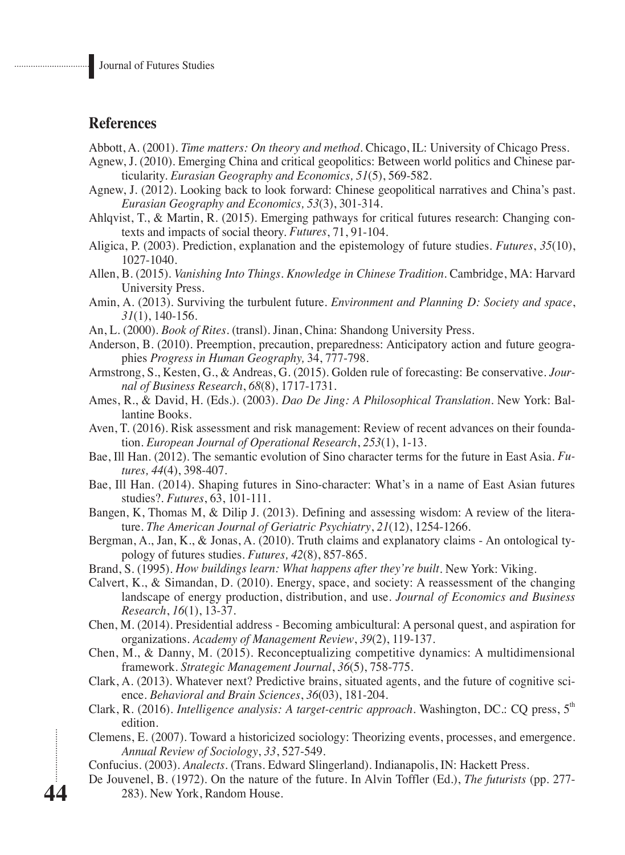## **References**

**44**

Abbott, A. (2001). *Time matters: On theory and method*. Chicago, IL: University of Chicago Press.

- Agnew, J. (2010). Emerging China and critical geopolitics: Between world politics and Chinese particularity. *Eurasian Geography and Economics, 51*(5), 569-582.
- Agnew, J. (2012). Looking back to look forward: Chinese geopolitical narratives and China's past. *Eurasian Geography and Economics, 53*(3), 301-314.
- Ahlqvist, T., & Martin, R. (2015). Emerging pathways for critical futures research: Changing contexts and impacts of social theory. *Futures*, 71, 91-104.
- Aligica, P. (2003). Prediction, explanation and the epistemology of future studies. *Futures*, *35*(10), 1027-1040.
- Allen, B. (2015). *Vanishing Into Things*. *Knowledge in Chinese Tradition*. Cambridge, MA: Harvard University Press.
- Amin, A. (2013). Surviving the turbulent future. *Environment and Planning D: Society and space*, *31*(1), 140-156.
- An, L. (2000). *Book of Rites*. (transl). Jinan, China: Shandong University Press.
- Anderson, B. (2010). Preemption, precaution, preparedness: Anticipatory action and future geographies *Progress in Human Geography,* 34, 777-798.
- Armstrong, S., Kesten, G., & Andreas, G. (2015). Golden rule of forecasting: Be conservative. *Journal of Business Research*, *68*(8), 1717-1731.
- Ames, R., & David, H. (Eds.). (2003). *Dao De Jing: A Philosophical Translation*. New York: Ballantine Books.
- Aven, T. (2016). Risk assessment and risk management: Review of recent advances on their foundation. *European Journal of Operational Research*, *253*(1), 1-13.
- Bae, Ill Han. (2012). The semantic evolution of Sino character terms for the future in East Asia. *Futures, 44*(4), 398-407.
- Bae, Ill Han. (2014). Shaping futures in Sino-character: What's in a name of East Asian futures studies?. *Futures*, 63, 101-111.
- Bangen, K, Thomas M, & Dilip J. (2013). Defining and assessing wisdom: A review of the literature. *The American Journal of Geriatric Psychiatry*, *21*(12), 1254-1266.
- Bergman, A., Jan, K., & Jonas, A. (2010). Truth claims and explanatory claims An ontological typology of futures studies. *Futures, 42*(8), 857-865.
- Brand, S. (1995). *How buildings learn: What happens after they're built*. New York: Viking.
- Calvert, K., & Simandan, D. (2010). Energy, space, and society: A reassessment of the changing landscape of energy production, distribution, and use. *Journal of Economics and Business Research*, *16*(1), 13-37.
- Chen, M. (2014). Presidential address Becoming ambicultural: A personal quest, and aspiration for organizations. *Academy of Management Review*, *39*(2), 119-137.
- Chen, M., & Danny, M. (2015). Reconceptualizing competitive dynamics: A multidimensional framework. *Strategic Management Journal*, *36*(5), 758-775.
- Clark, A. (2013). Whatever next? Predictive brains, situated agents, and the future of cognitive science. *Behavioral and Brain Sciences*, *36*(03), 181-204.
- Clark, R. (2016). *Intelligence analysis: A target-centric approach*. Washington, DC.: CQ press, 5<sup>th</sup> edition.
- Clemens, E. (2007). Toward a historicized sociology: Theorizing events, processes, and emergence. *Annual Review of Sociology*, *33*, 527-549.
- Confucius. (2003). *Analects*. (Trans. Edward Slingerland). Indianapolis, IN: Hackett Press.
- De Jouvenel, B. (1972). On the nature of the future. In Alvin Toffler (Ed.), *The futurists* (pp. 277- 283). New York, Random House.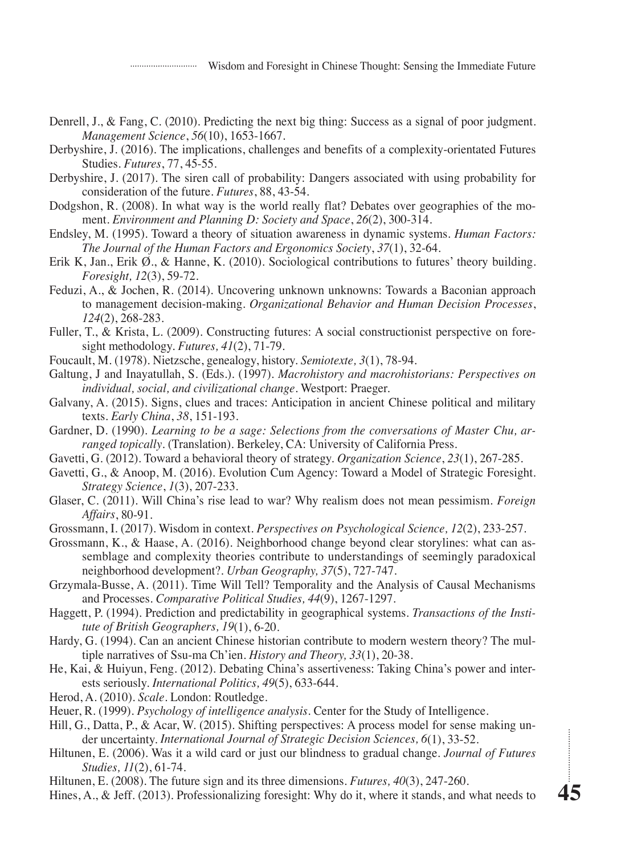Wisdom and Foresight in Chinese Thought: Sensing the Immediate Future

- Denrell, J., & Fang, C. (2010). Predicting the next big thing: Success as a signal of poor judgment. *Management Science*, *56*(10), 1653-1667.
- Derbyshire, J. (2016). The implications, challenges and benefits of a complexity-orientated Futures Studies. *Futures*, 77, 45-55.
- Derbyshire, J. (2017). The siren call of probability: Dangers associated with using probability for consideration of the future. *Futures*, 88, 43-54.
- Dodgshon, R. (2008). In what way is the world really flat? Debates over geographies of the moment. *Environment and Planning D: Society and Space*, *26*(2), 300-314.
- Endsley, M. (1995). Toward a theory of situation awareness in dynamic systems. *Human Factors: The Journal of the Human Factors and Ergonomics Society*, *37*(1), 32-64.
- Erik K, Jan., Erik Ø., & Hanne, K. (2010). Sociological contributions to futures' theory building. *Foresight, 12*(3), 59-72.
- Feduzi, A., & Jochen, R. (2014). Uncovering unknown unknowns: Towards a Baconian approach to management decision-making. *Organizational Behavior and Human Decision Processes*, *124*(2), 268-283.
- Fuller, T., & Krista, L. (2009). Constructing futures: A social constructionist perspective on foresight methodology. *Futures, 41*(2), 71-79.
- Foucault, M. (1978). Nietzsche, genealogy, history. *Semiotexte, 3*(1), 78-94.
- Galtung, J and Inayatullah, S. (Eds.). (1997). *Macrohistory and macrohistorians: Perspectives on individual, social, and civilizational change*. Westport: Praeger.
- Galvany, A. (2015). Signs, clues and traces: Anticipation in ancient Chinese political and military texts. *Early China*, *38*, 151-193.
- Gardner, D. (1990). *Learning to be a sage: Selections from the conversations of Master Chu, arranged topically*. (Translation). Berkeley, CA: University of California Press.
- Gavetti, G. (2012). Toward a behavioral theory of strategy. *Organization Science*, *23*(1), 267-285.
- Gavetti, G., & Anoop, M. (2016). Evolution Cum Agency: Toward a Model of Strategic Foresight. *Strategy Science*, *1*(3), 207-233.
- Glaser, C. (2011). Will China's rise lead to war? Why realism does not mean pessimism. *Foreign Affairs*, 80-91.
- Grossmann, I. (2017). Wisdom in context. *Perspectives on Psychological Science, 12*(2), 233-257.
- Grossmann, K., & Haase, A. (2016). Neighborhood change beyond clear storylines: what can assemblage and complexity theories contribute to understandings of seemingly paradoxical neighborhood development?. *Urban Geography, 37*(5), 727-747.
- Grzymala-Busse, A. (2011). Time Will Tell? Temporality and the Analysis of Causal Mechanisms and Processes. *Comparative Political Studies, 44*(9), 1267-1297.
- Haggett, P. (1994). Prediction and predictability in geographical systems. *Transactions of the Institute of British Geographers, 19*(1), 6-20.
- Hardy, G. (1994). Can an ancient Chinese historian contribute to modern western theory? The multiple narratives of Ssu-ma Ch'ien. *History and Theory, 33*(1), 20-38.
- He, Kai, & Huiyun, Feng. (2012). Debating China's assertiveness: Taking China's power and interests seriously. *International Politics, 49*(5), 633-644.
- Herod, A. (2010). *Scale*. London: Routledge.
- Heuer, R. (1999). *Psychology of intelligence analysis*. Center for the Study of Intelligence.
- Hill, G., Datta, P., & Acar, W. (2015). Shifting perspectives: A process model for sense making under uncertainty. *International Journal of Strategic Decision Sciences, 6*(1), 33-52.
- Hiltunen, E. (2006). Was it a wild card or just our blindness to gradual change. *Journal of Futures Studies, 11*(2), 61-74.
- Hiltunen, E. (2008). The future sign and its three dimensions. *Futures, 40*(3), 247-260.
- Hines, A., & Jeff. (2013). Professionalizing foresight: Why do it, where it stands, and what needs to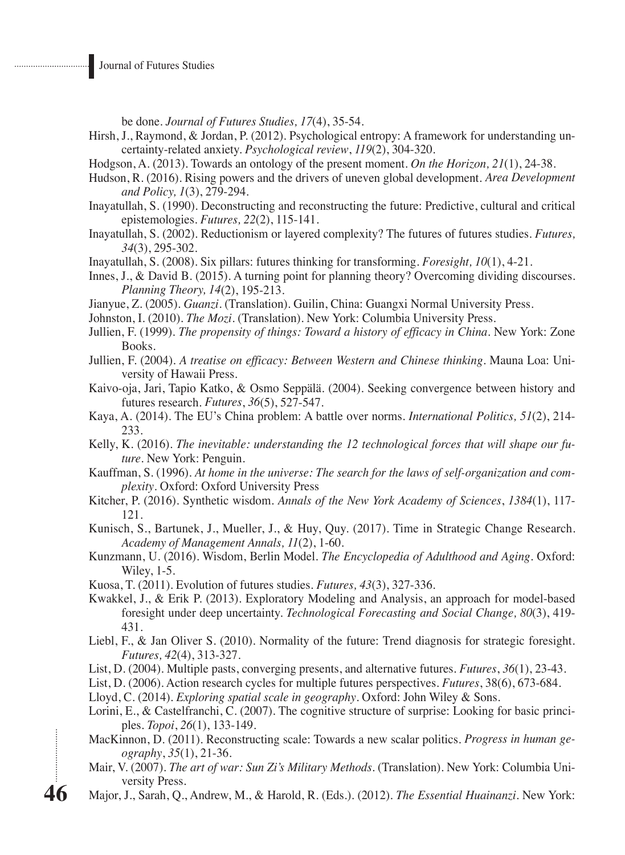. . . . . . . . . . . . . . . . . . .

be done. *Journal of Futures Studies, 17*(4), 35-54.

- Hirsh, J., Raymond, & Jordan, P. (2012). Psychological entropy: A framework for understanding uncertainty-related anxiety. *Psychological review*, *119*(2), 304-320.
- Hodgson, A. (2013). Towards an ontology of the present moment. *On the Horizon, 21*(1), 24-38.
- Hudson, R. (2016). Rising powers and the drivers of uneven global development. *Area Development and Policy, 1*(3), 279-294.
- Inayatullah, S. (1990). Deconstructing and reconstructing the future: Predictive, cultural and critical epistemologies. *Futures, 22*(2), 115-141.
- Inayatullah, S. (2002). Reductionism or layered complexity? The futures of futures studies. *Futures, 34*(3), 295-302.
- Inayatullah, S. (2008). Six pillars: futures thinking for transforming. *Foresight, 10*(1), 4-21.
- Innes, J., & David B. (2015). A turning point for planning theory? Overcoming dividing discourses. *Planning Theory, 14*(2), 195-213.
- Jianyue, Z. (2005). *Guanzi.* (Translation). Guilin, China: Guangxi Normal University Press.
- Johnston, I. (2010). *The Mozi*. (Translation). New York: Columbia University Press.
- Jullien, F. (1999). *The propensity of things: Toward a history of efficacy in China*. New York: Zone Books.
- Jullien, F. (2004). *A treatise on efficacy: Between Western and Chinese thinking*. Mauna Loa: University of Hawaii Press.
- Kaivo-oja, Jari, Tapio Katko, & Osmo Seppälä. (2004). Seeking convergence between history and futures research. *Futures*, *36*(5), 527-547.
- Kaya, A. (2014). The EU's China problem: A battle over norms. *International Politics, 51*(2), 214- 233.
- Kelly, K. (2016). *The inevitable: understanding the 12 technological forces that will shape our future*. New York: Penguin.
- Kauffman, S. (1996). *At home in the universe: The search for the laws of self-organization and complexity*. Oxford: Oxford University Press
- Kitcher, P. (2016). Synthetic wisdom. *Annals of the New York Academy of Sciences*, *1384*(1), 117- 121.
- Kunisch, S., Bartunek, J., Mueller, J., & Huy, Quy. (2017). Time in Strategic Change Research. *Academy of Management Annals, 11*(2), 1-60.
- Kunzmann, U. (2016). Wisdom, Berlin Model. *The Encyclopedia of Adulthood and Aging*. Oxford: Wiley, 1-5.
- Kuosa, T. (2011). Evolution of futures studies. *Futures, 43*(3), 327-336.
- Kwakkel, J., & Erik P. (2013). Exploratory Modeling and Analysis, an approach for model-based foresight under deep uncertainty. *Technological Forecasting and Social Change, 80*(3), 419- 431.
- Liebl, F., & Jan Oliver S. (2010). Normality of the future: Trend diagnosis for strategic foresight. *Futures, 42*(4), 313-327.
- List, D. (2004). Multiple pasts, converging presents, and alternative futures. *Futures*, *36*(1), 23-43.
- List, D. (2006). Action research cycles for multiple futures perspectives. *Futures*, 38(6), 673-684.
- Lloyd, C. (2014). *Exploring spatial scale in geography*. Oxford: John Wiley & Sons.
- Lorini, E., & Castelfranchi, C. (2007). The cognitive structure of surprise: Looking for basic principles. *Topoi*, *26*(1), 133-149.
- MacKinnon, D. (2011). Reconstructing scale: Towards a new scalar politics. *Progress in human geography*, *35*(1), 21-36.
- Mair, V. (2007). *The art of war: Sun Zi's Military Methods*. (Translation). New York: Columbia University Press.
- Major, J., Sarah, Q., Andrew, M., & Harold, R. (Eds.). (2012). *The Essential Huainanzi*. New York: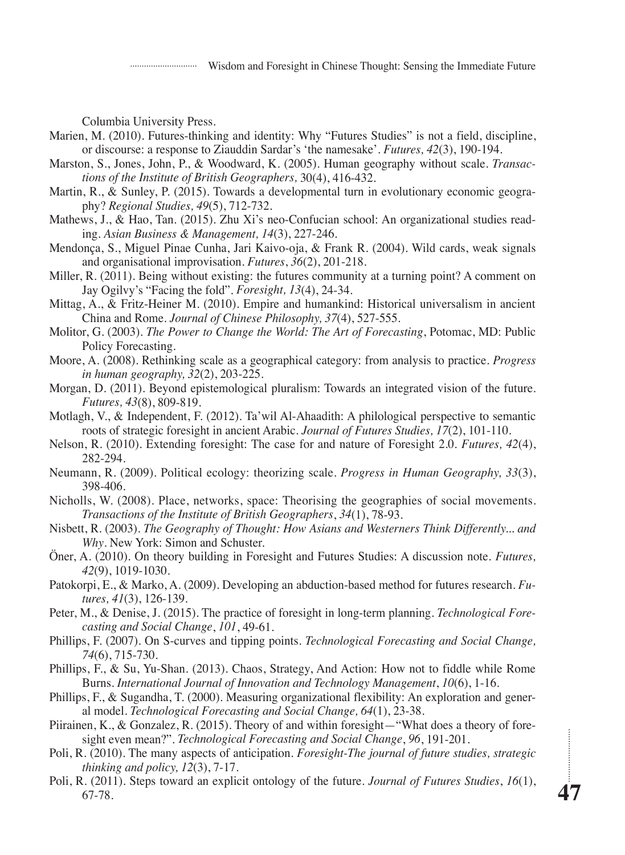Wisdom and Foresight in Chinese Thought: Sensing the Immediate Future

Columbia University Press.

- Marien, M. (2010). Futures-thinking and identity: Why "Futures Studies" is not a field, discipline, or discourse: a response to Ziauddin Sardar's 'the namesake'. *Futures, 42*(3), 190-194.
- Marston, S., Jones, John, P., & Woodward, K. (2005). Human geography without scale. *Transactions of the Institute of British Geographers,* 30(4), 416-432.
- Martin, R., & Sunley, P. (2015). Towards a developmental turn in evolutionary economic geography? *Regional Studies, 49*(5), 712-732.
- Mathews, J., & Hao, Tan. (2015). Zhu Xi's neo-Confucian school: An organizational studies reading. *Asian Business & Management, 14*(3), 227-246.
- Mendonça, S., Miguel Pinae Cunha, Jari Kaivo-oja, & Frank R. (2004). Wild cards, weak signals and organisational improvisation. *Futures*, *36*(2), 201-218.
- Miller, R. (2011). Being without existing: the futures community at a turning point? A comment on Jay Ogilvy's "Facing the fold". *Foresight, 13*(4), 24-34.
- Mittag, A., & Fritz-Heiner M. (2010). Empire and humankind: Historical universalism in ancient China and Rome. *Journal of Chinese Philosophy, 37*(4), 527-555.
- Molitor, G. (2003). *The Power to Change the World: The Art of Forecasting*, Potomac, MD: Public Policy Forecasting.
- Moore, A. (2008). Rethinking scale as a geographical category: from analysis to practice. *Progress in human geography, 32*(2), 203-225.
- Morgan, D. (2011). Beyond epistemological pluralism: Towards an integrated vision of the future. *Futures, 43*(8), 809-819.
- Motlagh, V., & Independent, F. (2012). Ta'wil Al-Ahaadith: A philological perspective to semantic roots of strategic foresight in ancient Arabic. *Journal of Futures Studies, 17*(2), 101-110.
- Nelson, R. (2010). Extending foresight: The case for and nature of Foresight 2.0. *Futures, 42*(4), 282-294.
- Neumann, R. (2009). Political ecology: theorizing scale. *Progress in Human Geography, 33*(3), 398-406.
- Nicholls, W. (2008). Place, networks, space: Theorising the geographies of social movements. *Transactions of the Institute of British Geographers*, *34*(1), 78-93.
- Nisbett, R. (2003). *The Geography of Thought: How Asians and Westerners Think Differently... and Why*. New York: Simon and Schuster.
- Öner, A. (2010). On theory building in Foresight and Futures Studies: A discussion note. *Futures, 42*(9), 1019-1030.
- Patokorpi, E., & Marko, A. (2009). Developing an abduction-based method for futures research. *Futures, 41*(3), 126-139.
- Peter, M., & Denise, J. (2015). The practice of foresight in long-term planning. *Technological Forecasting and Social Change*, *101*, 49-61.
- Phillips, F. (2007). On S-curves and tipping points. *Technological Forecasting and Social Change, 74*(6), 715-730.
- Phillips, F., & Su, Yu-Shan. (2013). Chaos, Strategy, And Action: How not to fiddle while Rome Burns. *International Journal of Innovation and Technology Management*, *10*(6), 1-16.
- Phillips, F., & Sugandha, T. (2000). Measuring organizational flexibility: An exploration and general model. *Technological Forecasting and Social Change, 64*(1), 23-38.
- Piirainen, K., & Gonzalez, R. (2015). Theory of and within foresight—"What does a theory of foresight even mean?". *Technological Forecasting and Social Change*, *96*, 191-201.
- Poli, R. (2010). The many aspects of anticipation. *Foresight-The journal of future studies, strategic thinking and policy, 12*(3), 7-17.
- Poli, R. (2011). Steps toward an explicit ontology of the future. *Journal of Futures Studies*, *16*(1), 67-78.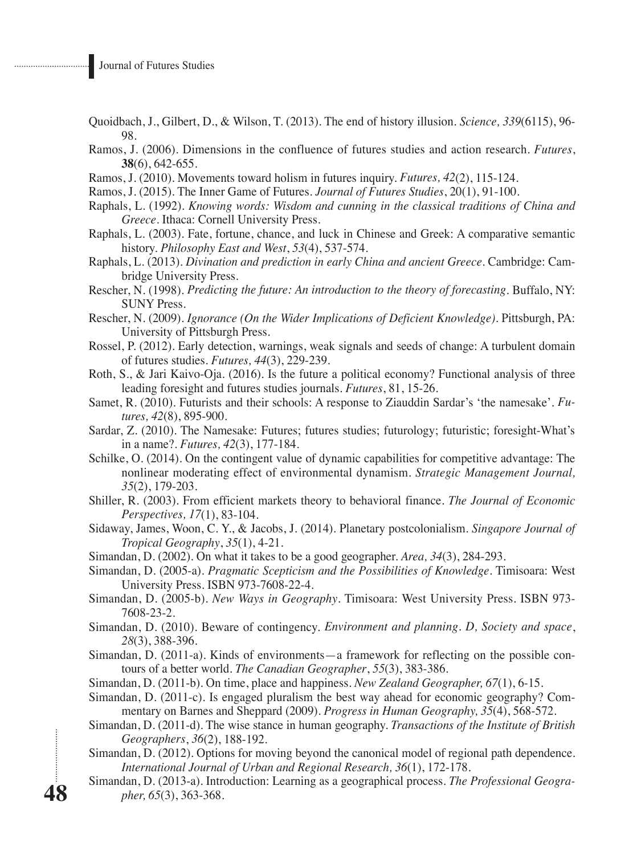- Quoidbach, J., Gilbert, D., & Wilson, T. (2013). The end of history illusion. *Science, 339*(6115), 96- 98.
- Ramos, J. (2006). Dimensions in the confluence of futures studies and action research. *Futures*, **38**(6), 642-655.
- Ramos, J. (2010). Movements toward holism in futures inquiry. *Futures, 42*(2), 115-124.
- Ramos, J. (2015). The Inner Game of Futures. *Journal of Futures Studies*, 20(1), 91-100.
- Raphals, L. (1992). *Knowing words: Wisdom and cunning in the classical traditions of China and Greece*. Ithaca: Cornell University Press.
- Raphals, L. (2003). Fate, fortune, chance, and luck in Chinese and Greek: A comparative semantic history. *Philosophy East and West*, *53*(4), 537-574.
- Raphals, L. (2013). *Divination and prediction in early China and ancient Greece*. Cambridge: Cambridge University Press.
- Rescher, N. (1998). *Predicting the future: An introduction to the theory of forecasting*. Buffalo, NY: SUNY Press.
- Rescher, N. (2009). *Ignorance (On the Wider Implications of Deficient Knowledge).* Pittsburgh, PA: University of Pittsburgh Press.
- Rossel, P. (2012). Early detection, warnings, weak signals and seeds of change: A turbulent domain of futures studies. *Futures, 44*(3), 229-239.
- Roth, S., & Jari Kaivo-Oja. (2016). Is the future a political economy? Functional analysis of three leading foresight and futures studies journals. *Futures*, 81, 15-26.
- Samet, R. (2010). Futurists and their schools: A response to Ziauddin Sardar's 'the namesake'. *Futures, 42*(8), 895-900.
- Sardar, Z. (2010). The Namesake: Futures; futures studies; futurology; futuristic; foresight-What's in a name?. *Futures, 42*(3), 177-184.
- Schilke, O. (2014). On the contingent value of dynamic capabilities for competitive advantage: The nonlinear moderating effect of environmental dynamism. *Strategic Management Journal, 35*(2), 179-203.
- Shiller, R. (2003). From efficient markets theory to behavioral finance. *The Journal of Economic Perspectives, 17*(1), 83-104.
- Sidaway, James, Woon, C. Y., & Jacobs, J. (2014). Planetary postcolonialism. *Singapore Journal of Tropical Geography*, *35*(1), 4-21.
- Simandan, D. (2002). On what it takes to be a good geographer. *Area, 34*(3), 284-293.
- Simandan, D. (2005-a). *Pragmatic Scepticism and the Possibilities of Knowledge*. Timisoara: West University Press. ISBN 973-7608-22-4.
- Simandan, D. (2005-b). *New Ways in Geography*. Timisoara: West University Press. ISBN 973- 7608-23-2.
- Simandan, D. (2010). Beware of contingency. *Environment and planning. D, Society and space*, *28*(3), 388-396.
- Simandan, D. (2011-a). Kinds of environments—a framework for reflecting on the possible contours of a better world. *The Canadian Geographer*, *55*(3), 383-386.
- Simandan, D. (2011-b). On time, place and happiness. *New Zealand Geographer, 67*(1), 6-15.
- Simandan, D. (2011-c). Is engaged pluralism the best way ahead for economic geography? Commentary on Barnes and Sheppard (2009). *Progress in Human Geography, 35*(4), 568-572.
- Simandan, D. (2011-d). The wise stance in human geography. *Transactions of the Institute of British Geographers*, *36*(2), 188-192.
- Simandan, D. (2012). Options for moving beyond the canonical model of regional path dependence. *International Journal of Urban and Regional Research, 36*(1), 172-178.
- Simandan, D. (2013-a). Introduction: Learning as a geographical process. *The Professional Geographer, 65*(3), 363-368.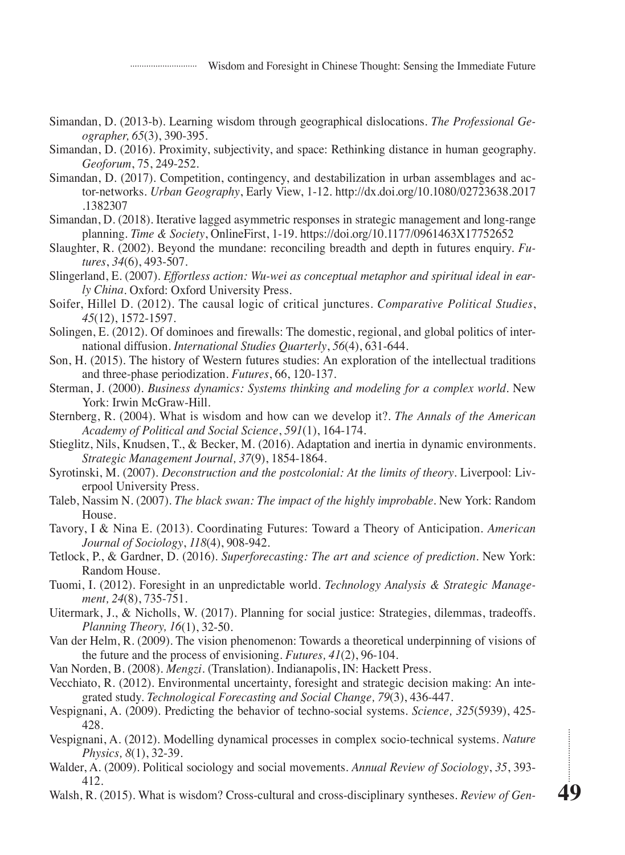- Simandan, D. (2013-b). Learning wisdom through geographical dislocations. *The Professional Geographer, 65*(3), 390-395.
- Simandan, D. (2016). Proximity, subjectivity, and space: Rethinking distance in human geography. *Geoforum*, 75, 249-252.
- Simandan, D. (2017). Competition, contingency, and destabilization in urban assemblages and actor-networks. *Urban Geography*, Early View, 1-12. http://dx.doi.org/10.1080/02723638.2017 .1382307
- Simandan, D. (2018). Iterative lagged asymmetric responses in strategic management and long-range planning. *Time & Society*, OnlineFirst, 1-19. https://doi.org/10.1177/0961463X17752652
- Slaughter, R. (2002). Beyond the mundane: reconciling breadth and depth in futures enquiry. *Futures*, *34*(6), 493-507.
- Slingerland, E. (2007). *Effortless action: Wu-wei as conceptual metaphor and spiritual ideal in early China*. Oxford: Oxford University Press.
- Soifer, Hillel D. (2012). The causal logic of critical junctures. *Comparative Political Studies*, *45*(12), 1572-1597.
- Solingen, E. (2012). Of dominoes and firewalls: The domestic, regional, and global politics of international diffusion. *International Studies Quarterly*, *56*(4), 631-644.
- Son, H. (2015). The history of Western futures studies: An exploration of the intellectual traditions and three-phase periodization. *Futures*, 66, 120-137.
- Sterman, J. (2000). *Business dynamics: Systems thinking and modeling for a complex world*. New York: Irwin McGraw-Hill.
- Sternberg, R. (2004). What is wisdom and how can we develop it?. *The Annals of the American Academy of Political and Social Science*, *591*(1), 164-174.
- Stieglitz, Nils, Knudsen, T., & Becker, M. (2016). Adaptation and inertia in dynamic environments. *Strategic Management Journal, 37*(9), 1854-1864.
- Syrotinski, M. (2007). *Deconstruction and the postcolonial: At the limits of theory*. Liverpool: Liverpool University Press.
- Taleb, Nassim N. (2007). *The black swan: The impact of the highly improbable*. New York: Random House.
- Tavory, I & Nina E. (2013). Coordinating Futures: Toward a Theory of Anticipation. *American Journal of Sociology*, *118*(4), 908-942.
- Tetlock, P., & Gardner, D. (2016). *Superforecasting: The art and science of prediction*. New York: Random House.
- Tuomi, I. (2012). Foresight in an unpredictable world. *Technology Analysis & Strategic Management, 24*(8), 735-751.
- Uitermark, J., & Nicholls, W. (2017). Planning for social justice: Strategies, dilemmas, tradeoffs. *Planning Theory, 16*(1), 32-50.
- Van der Helm, R. (2009). The vision phenomenon: Towards a theoretical underpinning of visions of the future and the process of envisioning. *Futures, 41*(2), 96-104.
- Van Norden, B. (2008). *Mengzi*. (Translation). Indianapolis, IN: Hackett Press.
- Vecchiato, R. (2012). Environmental uncertainty, foresight and strategic decision making: An integrated study. *Technological Forecasting and Social Change, 79*(3), 436-447.
- Vespignani, A. (2009). Predicting the behavior of techno-social systems. *Science, 325*(5939), 425- 428.
- Vespignani, A. (2012). Modelling dynamical processes in complex socio-technical systems. *Nature Physics, 8*(1), 32-39.
- Walder, A. (2009). Political sociology and social movements. *Annual Review of Sociology*, *35*, 393- 412.
- Walsh, R. (2015). What is wisdom? Cross-cultural and cross-disciplinary syntheses. *Review of Gen-*